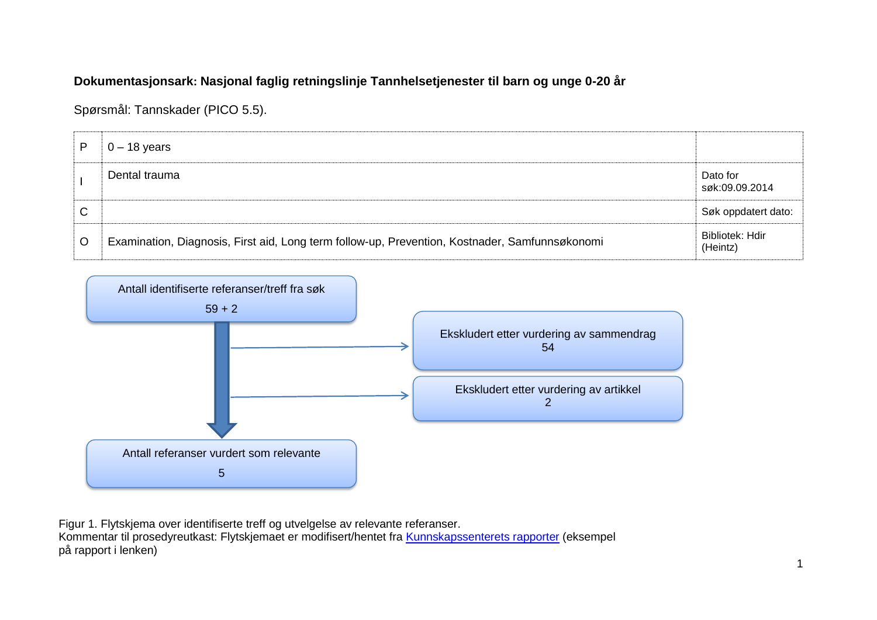## **Dokumentasjonsark: Nasjonal faglig retningslinje Tannhelsetjenester til barn og unge 0-20 år**

Spørsmål: Tannskader (PICO 5.5).

| D | $0 - 18$ years                                                                                 |                             |
|---|------------------------------------------------------------------------------------------------|-----------------------------|
|   | Dental trauma                                                                                  | Dato for<br>søk:09.09.2014  |
| C |                                                                                                | Søk oppdatert dato:         |
| O | Examination, Diagnosis, First aid, Long term follow-up, Prevention, Kostnader, Samfunnsøkonomi | Bibliotek: Hdir<br>(Heintz) |



Figur 1. Flytskjema over identifiserte treff og utvelgelse av relevante referanser. Kommentar til prosedyreutkast: Flytskjemaet er modifisert/hentet fra [Kunnskapssenterets rapporter](http://www.kunnskapssenteret.no/Publikasjoner/Depresjonsscreening+av+gravide+og+barselkvinner.17323.cms) (eksempel på rapport i lenken)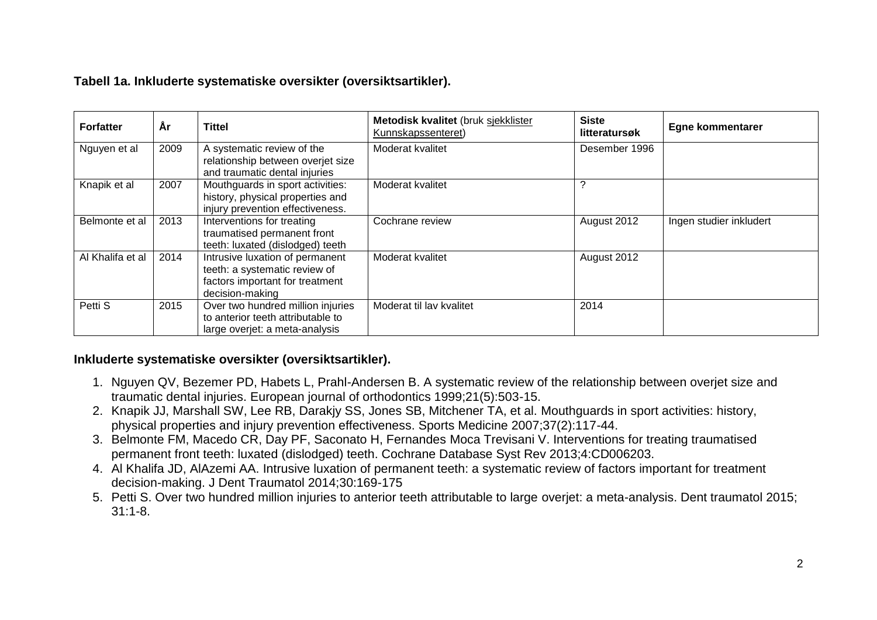## **Tabell 1a. Inkluderte systematiske oversikter (oversiktsartikler).**

| <b>Forfatter</b> | Ar   | <b>Tittel</b>                                                                                                          | Metodisk kvalitet (bruk sjekklister<br>Kunnskapssenteret) | <b>Siste</b><br>litteratursøk | <b>Egne kommentarer</b> |
|------------------|------|------------------------------------------------------------------------------------------------------------------------|-----------------------------------------------------------|-------------------------------|-------------------------|
| Nguyen et al     | 2009 | A systematic review of the<br>relationship between overjet size<br>and traumatic dental injuries                       | Moderat kvalitet                                          | Desember 1996                 |                         |
| Knapik et al     | 2007 | Mouthguards in sport activities:<br>history, physical properties and<br>injury prevention effectiveness.               | Moderat kvalitet                                          |                               |                         |
| Belmonte et al   | 2013 | Interventions for treating<br>traumatised permanent front<br>teeth: luxated (dislodged) teeth                          | Cochrane review                                           | August 2012                   | Ingen studier inkludert |
| Al Khalifa et al | 2014 | Intrusive luxation of permanent<br>teeth: a systematic review of<br>factors important for treatment<br>decision-making | Moderat kvalitet                                          | August 2012                   |                         |
| Petti S          | 2015 | Over two hundred million injuries<br>to anterior teeth attributable to<br>large overjet: a meta-analysis               | Moderat til lav kvalitet                                  | 2014                          |                         |

## **Inkluderte systematiske oversikter (oversiktsartikler).**

- 1. Nguyen QV, Bezemer PD, Habets L, Prahl-Andersen B. A systematic review of the relationship between overjet size and traumatic dental injuries. European journal of orthodontics 1999;21(5):503-15.
- 2. Knapik JJ, Marshall SW, Lee RB, Darakjy SS, Jones SB, Mitchener TA, et al. Mouthguards in sport activities: history, physical properties and injury prevention effectiveness. Sports Medicine 2007;37(2):117-44.
- 3. Belmonte FM, Macedo CR, Day PF, Saconato H, Fernandes Moca Trevisani V. Interventions for treating traumatised permanent front teeth: luxated (dislodged) teeth. Cochrane Database Syst Rev 2013;4:CD006203.
- 4. Al Khalifa JD, AlAzemi AA. Intrusive luxation of permanent teeth: a systematic review of factors important for treatment decision-making. J Dent Traumatol 2014;30:169-175
- 5. Petti S. Over two hundred million injuries to anterior teeth attributable to large overjet: a meta-analysis. Dent traumatol 2015; 31:1-8.